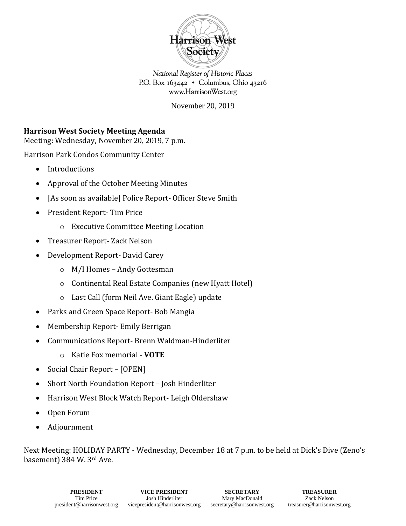

National Register of Historic Places P.O. Box  $163442 \cdot$  Columbus, Ohio 43216 www.HarrisonWest.org

November 20, 2019

# **Harrison West Society Meeting Agenda**

Meeting: Wednesday, November 20, 2019, 7 p.m.

Harrison Park Condos Community Center

- Introductions
- Approval of the October Meeting Minutes
- [As soon as available] Police Report- Officer Steve Smith
- President Report- Tim Price
	- o Executive Committee Meeting Location
- Treasurer Report- Zack Nelson
- Development Report- David Carey
	- o M/I Homes Andy Gottesman
	- o Continental Real Estate Companies (new Hyatt Hotel)
	- o Last Call (form Neil Ave. Giant Eagle) update
- Parks and Green Space Report- Bob Mangia
- Membership Report- Emily Berrigan
- Communications Report- Brenn Waldman-Hinderliter
	- o Katie Fox memorial **VOTE**
- Social Chair Report [OPEN]
- Short North Foundation Report Josh Hinderliter
- Harrison West Block Watch Report- Leigh Oldershaw
- Open Forum
- Adjournment

Next Meeting: HOLIDAY PARTY - Wednesday, December 18 at 7 p.m. to be held at Dick's Dive (Zeno's basement) 384 W. 3rd Ave.